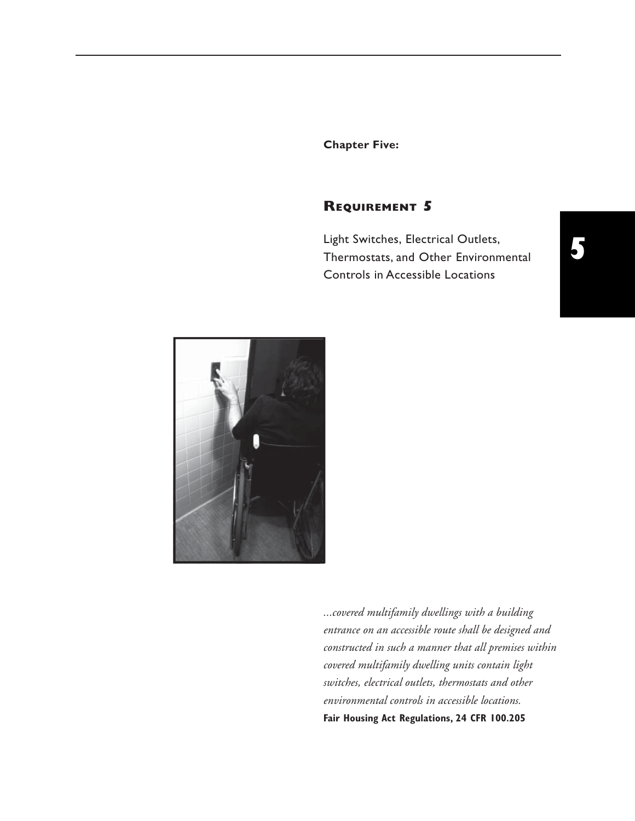**Chapter Five:** 

## **REQUIREMENT 5**

Light Switches, Electrical Outlets, Thermostats, and Other Environmental Controls in Accessible Locations



*...covered multifamily dwellings with a building entrance on an accessible route shall be designed and constructed in such a manner that all premises within covered multifamily dwelling units contain light switches, electrical outlets, thermostats and other environmental controls in accessible locations.*  **Fair Housing Act Regulations, 24 CFR 100.205**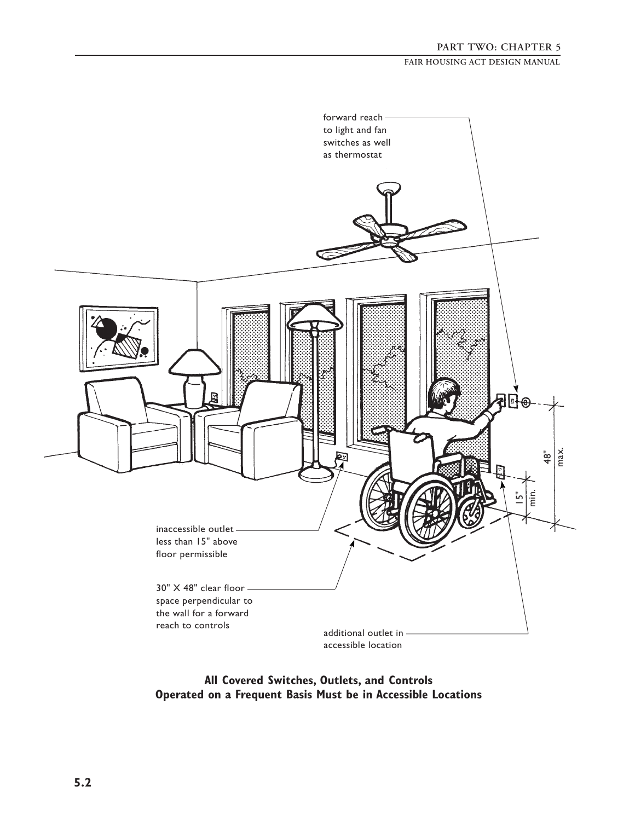

**All Covered Switches, Outlets, and Controls Operated on a Frequent Basis Must be in Accessible Locations**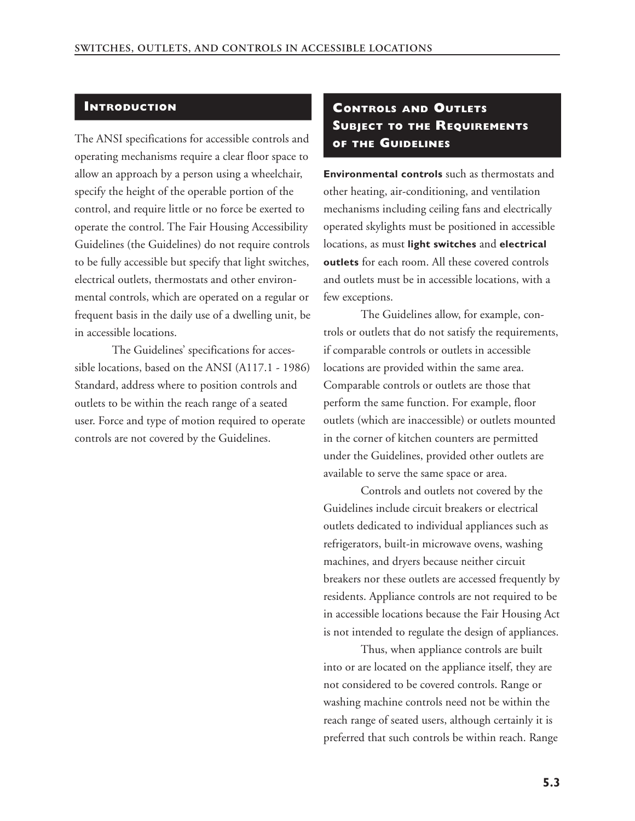#### **INTRODUCTION**

The ANSI specifications for accessible controls and operating mechanisms require a clear floor space to allow an approach by a person using a wheelchair, specify the height of the operable portion of the control, and require little or no force be exerted to operate the control. The Fair Housing Accessibility Guidelines (the Guidelines) do not require controls to be fully accessible but specify that light switches, electrical outlets, thermostats and other environmental controls, which are operated on a regular or frequent basis in the daily use of a dwelling unit, be in accessible locations.

The Guidelines' specifications for accessible locations, based on the ANSI (A117.1 - 1986) Standard, address where to position controls and outlets to be within the reach range of a seated user. Force and type of motion required to operate controls are not covered by the Guidelines.

# **CONTROLS AND OUTLETS SUBJECT TO THE REQUIREMENTS OF THE GUIDELINES**

**Environmental controls** such as thermostats and other heating, air-conditioning, and ventilation mechanisms including ceiling fans and electrically operated skylights must be positioned in accessible locations, as must **light switches** and **electrical outlets** for each room. All these covered controls and outlets must be in accessible locations, with a few exceptions.

The Guidelines allow, for example, controls or outlets that do not satisfy the requirements, if comparable controls or outlets in accessible locations are provided within the same area. Comparable controls or outlets are those that perform the same function. For example, floor outlets (which are inaccessible) or outlets mounted in the corner of kitchen counters are permitted under the Guidelines, provided other outlets are available to serve the same space or area.

Controls and outlets not covered by the Guidelines include circuit breakers or electrical outlets dedicated to individual appliances such as refrigerators, built-in microwave ovens, washing machines, and dryers because neither circuit breakers nor these outlets are accessed frequently by residents. Appliance controls are not required to be in accessible locations because the Fair Housing Act is not intended to regulate the design of appliances.

Thus, when appliance controls are built into or are located on the appliance itself, they are not considered to be covered controls. Range or washing machine controls need not be within the reach range of seated users, although certainly it is preferred that such controls be within reach. Range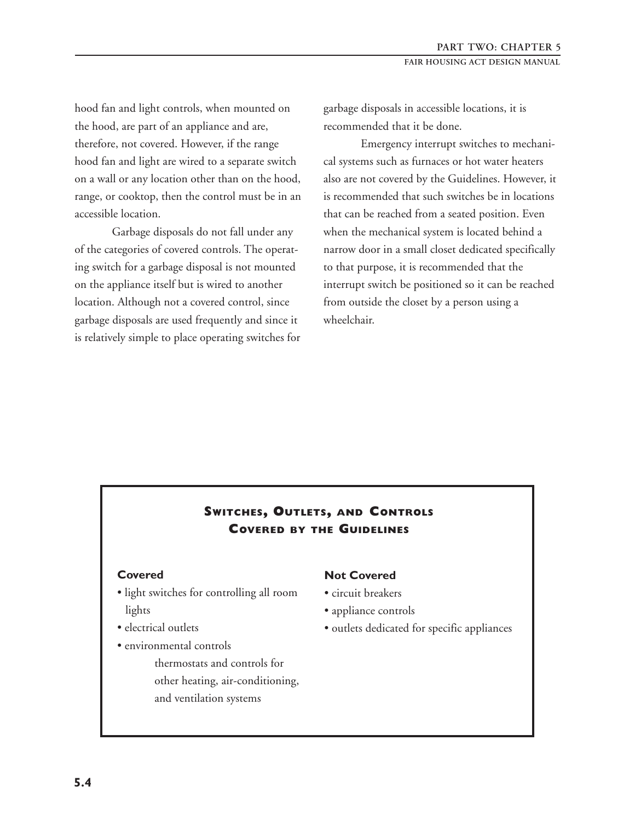hood fan and light controls, when mounted on the hood, are part of an appliance and are, therefore, not covered. However, if the range hood fan and light are wired to a separate switch on a wall or any location other than on the hood, range, or cooktop, then the control must be in an accessible location.

Garbage disposals do not fall under any of the categories of covered controls. The operating switch for a garbage disposal is not mounted on the appliance itself but is wired to another location. Although not a covered control, since garbage disposals are used frequently and since it is relatively simple to place operating switches for garbage disposals in accessible locations, it is recommended that it be done.

Emergency interrupt switches to mechanical systems such as furnaces or hot water heaters also are not covered by the Guidelines. However, it is recommended that such switches be in locations that can be reached from a seated position. Even when the mechanical system is located behind a narrow door in a small closet dedicated specifically to that purpose, it is recommended that the interrupt switch be positioned so it can be reached from outside the closet by a person using a wheelchair.

## **SWITCHES, OUTLETS, AND CONTROLS COVERED BY THE GUIDELINES**

- light switches for controlling all room circuit breakers lights • appliance controls
- 
- environmental controls
	- thermostats and controls for other heating, air-conditioning, and ventilation systems

#### **Covered Not Covered**

- 
- 
- electrical outlets outlets dedicated for specific appliances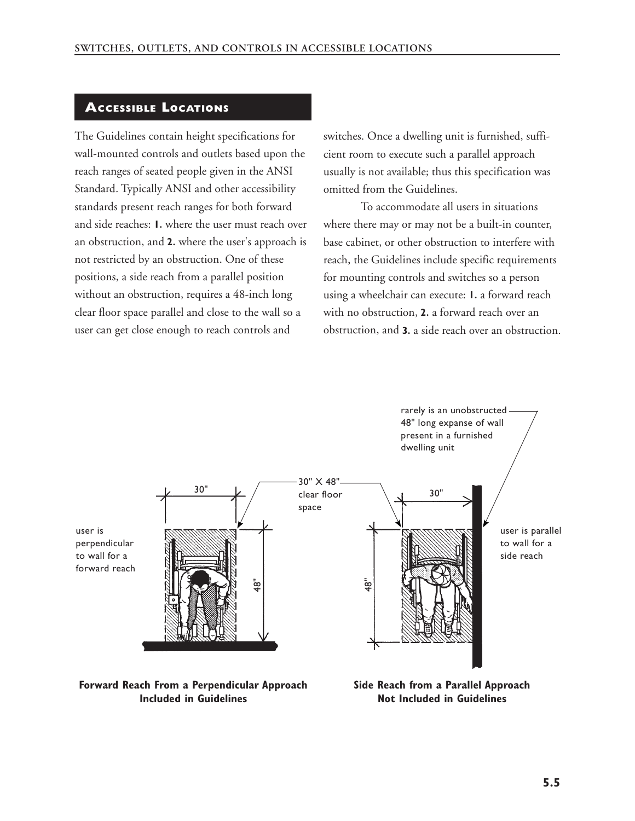### **ACCESSIBLE LOCATIONS**

The Guidelines contain height specifications for wall-mounted controls and outlets based upon the reach ranges of seated people given in the ANSI Standard. Typically ANSI and other accessibility standards present reach ranges for both forward and side reaches: **1.** where the user must reach over an obstruction, and **2.** where the user's approach is not restricted by an obstruction. One of these positions, a side reach from a parallel position without an obstruction, requires a 48-inch long clear floor space parallel and close to the wall so a user can get close enough to reach controls and

switches. Once a dwelling unit is furnished, sufficient room to execute such a parallel approach usually is not available; thus this specification was omitted from the Guidelines.

To accommodate all users in situations where there may or may not be a built-in counter, base cabinet, or other obstruction to interfere with reach, the Guidelines include specific requirements for mounting controls and switches so a person using a wheelchair can execute: **1.** a forward reach with no obstruction, **2.** a forward reach over an obstruction, and **3.** a side reach over an obstruction.



#### **Forward Reach From a Perpendicular Approach Side Reach from a Parallel Approach Included in Guidelines Not Included in Guidelines**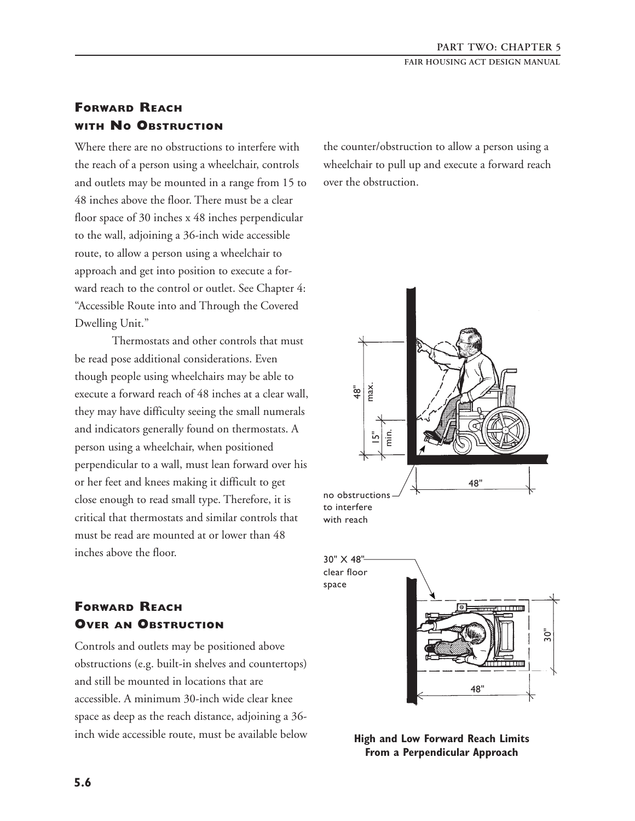## **FORWARD REACH WITH NO OBSTRUCTION**

Where there are no obstructions to interfere with the counter/obstruction to allow a person using a the reach of a person using a wheelchair, controls wheelchair to pull up and execute a forward reach and outlets may be mounted in a range from 15 to over the obstruction. 48 inches above the floor. There must be a clear floor space of 30 inches x 48 inches perpendicular to the wall, adjoining a 36-inch wide accessible route, to allow a person using a wheelchair to approach and get into position to execute a forward reach to the control or outlet. See Chapter 4: "Accessible Route into and Through the Covered Dwelling Unit."

Thermostats and other controls that must be read pose additional considerations. Even though people using wheelchairs may be able to execute a forward reach of 48 inches at a clear wall, they may have difficulty seeing the small numerals and indicators generally found on thermostats. A person using a wheelchair, when positioned perpendicular to a wall, must lean forward over his or her feet and knees making it difficult to get close enough to read small type. Therefore, it is to interfere critical that thermostats and similar controls that with reach must be read are mounted at or lower than 48 inches above the floor.

# **FORWARD REACH OVER AN OBSTRUCTION**

Controls and outlets may be positioned above obstructions (e.g. built-in shelves and countertops) and still be mounted in locations that are accessible. A minimum 30-inch wide clear knee space as deep as the reach distance, adjoining a 36 inch wide accessible route, must be available below





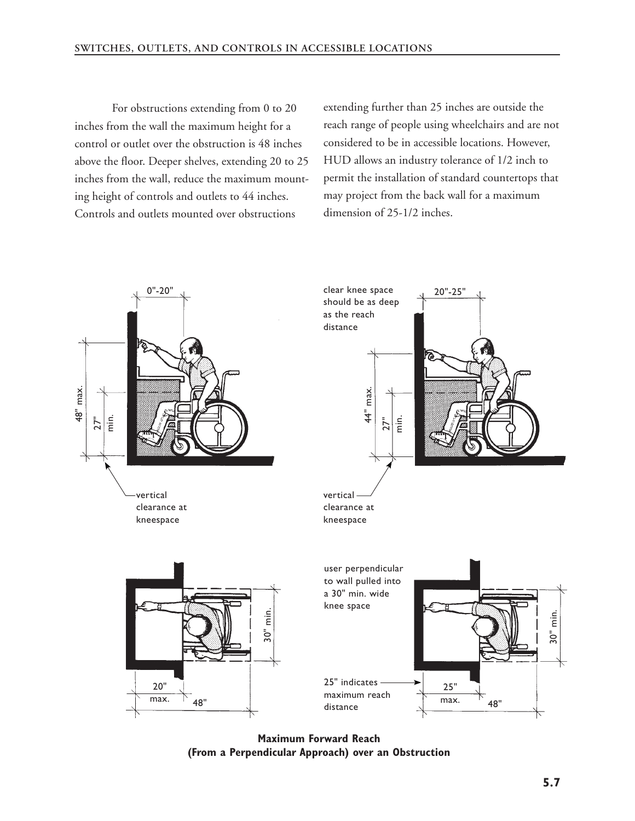For obstructions extending from 0 to 20 inches from the wall the maximum height for a control or outlet over the obstruction is 48 inches above the floor. Deeper shelves, extending 20 to 25 inches from the wall, reduce the maximum mounting height of controls and outlets to 44 inches. Controls and outlets mounted over obstructions

extending further than 25 inches are outside the reach range of people using wheelchairs and are not considered to be in accessible locations. However, HUD allows an industry tolerance of 1/2 inch to permit the installation of standard countertops that may project from the back wall for a maximum dimension of 25-1/2 inches.



**Maximum Forward Reach (From a Perpendicular Approach) over an Obstruction**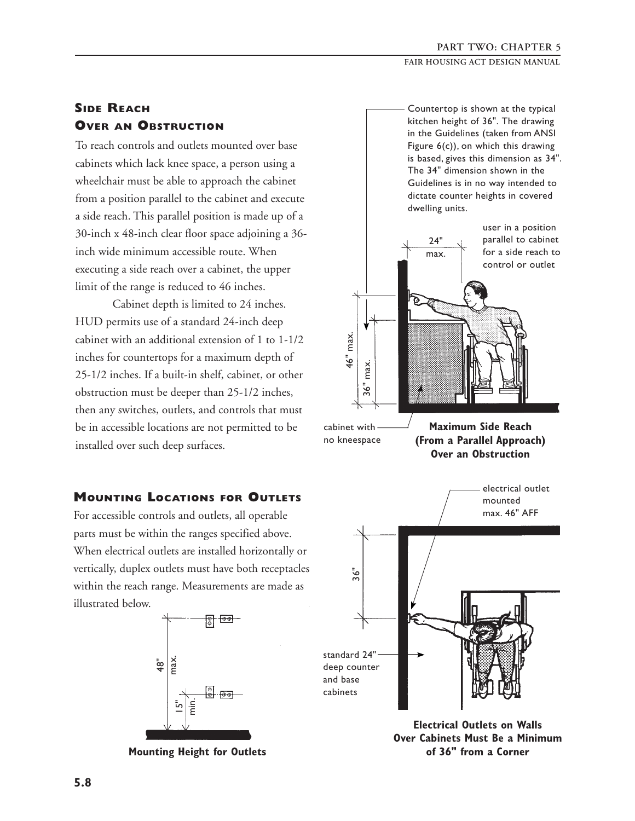# **SIDE REACH OVER AN OBSTRUCTION**

To reach controls and outlets mounted over base cabinets which lack knee space, a person using a wheelchair must be able to approach the cabinet from a position parallel to the cabinet and execute a side reach. This parallel position is made up of a 30-inch x 48-inch clear floor space adjoining a 36 inch wide minimum accessible route. When executing a side reach over a cabinet, the upper limit of the range is reduced to 46 inches.

Cabinet depth is limited to 24 inches. HUD permits use of a standard 24-inch deep cabinet with an additional extension of 1 to 1-1/2 inches for countertops for a maximum depth of 25-1/2 inches. If a built-in shelf, cabinet, or other obstruction must be deeper than 25-1/2 inches, then any switches, outlets, and controls that must be in accessible locations are not permitted to be installed over such deep surfaces. no kneespace **(From a Parallel Approach)** 

# **MOUNTING LOCATIONS FOR OUTLETS**  $\overline{\phantom{a}}$  mounted

For accessible controls and outlets, all operable parts must be within the ranges specified above. When electrical outlets are installed horizontally or vertically, duplex outlets must have both receptacles within the reach range. Measurements are made as illustrated below.



Countertop is shown at the typical kitchen height of 36". The drawing in the Guidelines (taken from ANSI Figure 6(c)), on which this drawing is based, gives this dimension as 34". The 34" dimension shown in the Guidelines is in no way intended to dictate counter heights in covered dwelling units.



**Electrical Outlets on Walls Over Cabinets Must Be a Minimum of 36" from a Corner**